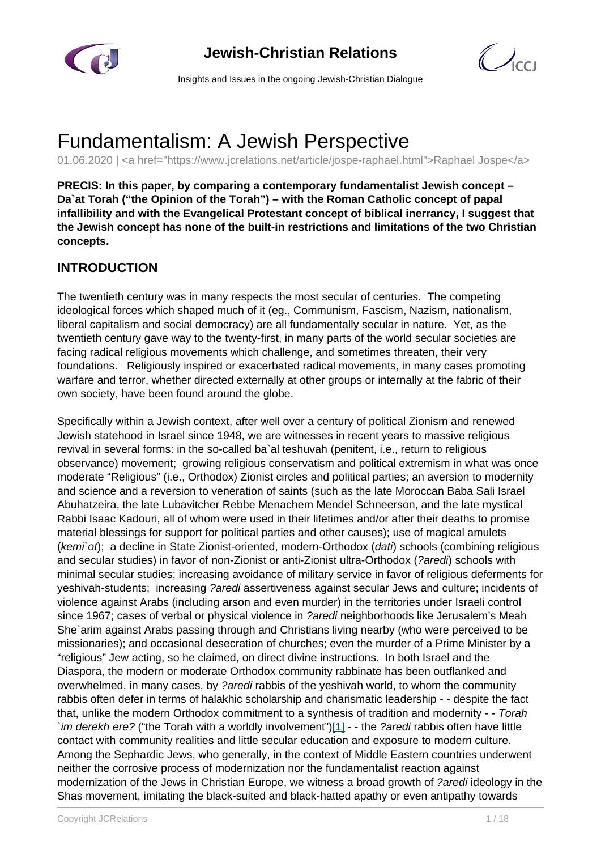

# **Jewish-Christian Relations**



Insights and Issues in the ongoing Jewish-Christian Dialogue

# Fundamentalism: A Jewish Perspective

01.06.2020 | <a href="https://www.jcrelations.net/article/jospe-raphael.html">Raphael Jospe</a>

**PRECIS: In this paper, by comparing a contemporary fundamentalist Jewish concept – Da`at Torah ("the Opinion of the Torah") – with the Roman Catholic concept of papal infallibility and with the Evangelical Protestant concept of biblical inerrancy, I suggest that the Jewish concept has none of the built-in restrictions and limitations of the two Christian concepts.**

#### **INTRODUCTION**

The twentieth century was in many respects the most secular of centuries. The competing ideological forces which shaped much of it (eg., Communism, Fascism, Nazism, nationalism, liberal capitalism and social democracy) are all fundamentally secular in nature. Yet, as the twentieth century gave way to the twenty-first, in many parts of the world secular societies are facing radical religious movements which challenge, and sometimes threaten, their very foundations. Religiously inspired or exacerbated radical movements, in many cases promoting warfare and terror, whether directed externally at other groups or internally at the fabric of their own society, have been found around the globe.

Specifically within a Jewish context, after well over a century of political Zionism and renewed Jewish statehood in Israel since 1948, we are witnesses in recent years to massive religious revival in several forms: in the so-called ba`al teshuvah (penitent, i.e., return to religious observance) movement; growing religious conservatism and political extremism in what was once moderate "Religious" (i.e., Orthodox) Zionist circles and political parties; an aversion to modernity and science and a reversion to veneration of saints (such as the late Moroccan Baba Sali Israel Abuhatzeira, the late Lubavitcher Rebbe Menachem Mendel Schneerson, and the late mystical Rabbi Isaac Kadouri, all of whom were used in their lifetimes and/or after their deaths to promise material blessings for support for political parties and other causes); use of magical amulets (kemi`ot); a decline in State Zionist-oriented, modern-Orthodox (dati) schools (combining religious and secular studies) in favor of non-Zionist or anti-Zionist ultra-Orthodox (?aredi) schools with minimal secular studies; increasing avoidance of military service in favor of religious deferments for yeshivah-students; increasing ?aredi assertiveness against secular Jews and culture; incidents of violence against Arabs (including arson and even murder) in the territories under Israeli control since 1967; cases of verbal or physical violence in ?aredi neighborhoods like Jerusalem's Meah She`arim against Arabs passing through and Christians living nearby (who were perceived to be missionaries); and occasional desecration of churches; even the murder of a Prime Minister by a "religious" Jew acting, so he claimed, on direct divine instructions. In both Israel and the Diaspora, the modern or moderate Orthodox community rabbinate has been outflanked and overwhelmed, in many cases, by ?aredi rabbis of the yeshivah world, to whom the community rabbis often defer in terms of halakhic scholarship and charismatic leadership - - despite the fact that, unlike the modern Orthodox commitment to a synthesis of tradition and modernity - - Torah 'im derekh ere? ("the Torah with a worldly involvement") $[1]$  - the ?aredi rabbis often have little contact with community realities and little secular education and exposure to modern culture. Among the Sephardic Jews, who generally, in the context of Middle Eastern countries underwent neither the corrosive process of modernization nor the fundamentalist reaction against modernization of the Jews in Christian Europe, we witness a broad growth of ?aredi ideology in the Shas movement, imitating the black-suited and black-hatted apathy or even antipathy towards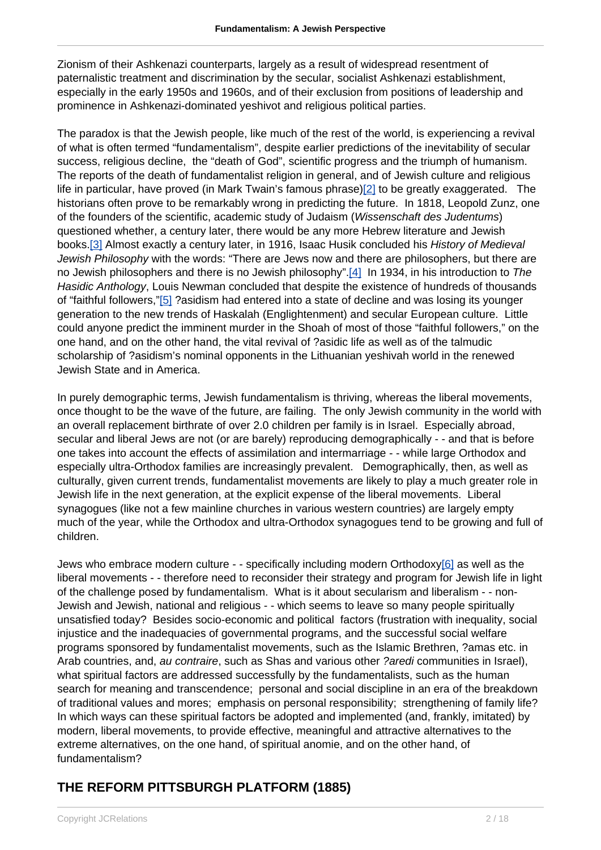Zionism of their Ashkenazi counterparts, largely as a result of widespread resentment of paternalistic treatment and discrimination by the secular, socialist Ashkenazi establishment, especially in the early 1950s and 1960s, and of their exclusion from positions of leadership and prominence in Ashkenazi-dominated yeshivot and religious political parties.

The paradox is that the Jewish people, like much of the rest of the world, is experiencing a revival of what is often termed "fundamentalism", despite earlier predictions of the inevitability of secular success, religious decline, the "death of God", scientific progress and the triumph of humanism. The reports of the death of fundamentalist religion in general, and of Jewish culture and religious life in particular, have proved (in Mark Twain's famous phrase)[\[2\]](https://www.iccj.org/#fn_2) to be greatly exaggerated. The historians often prove to be remarkably wrong in predicting the future. In 1818, Leopold Zunz, one of the founders of the scientific, academic study of Judaism (Wissenschaft des Judentums) questioned whether, a century later, there would be any more Hebrew literature and Jewish books.<sup>[3]</sup> Almost exactly a century later, in 1916, Isaac Husik concluded his History of Medieval Jewish Philosophy with the words: "There are Jews now and there are philosophers, but there are no Jewish philosophers and there is no Jewish philosophy".[\[4\]](https://www.iccj.org/#fn_4) In 1934, in his introduction to The Hasidic Anthology, Louis Newman concluded that despite the existence of hundreds of thousands of "faithful followers,["\[5\]](https://www.iccj.org/#fn_5) ?asidism had entered into a state of decline and was losing its younger generation to the new trends of Haskalah (Englightenment) and secular European culture. Little could anyone predict the imminent murder in the Shoah of most of those "faithful followers," on the one hand, and on the other hand, the vital revival of ?asidic life as well as of the talmudic scholarship of ?asidism's nominal opponents in the Lithuanian yeshivah world in the renewed Jewish State and in America.

In purely demographic terms, Jewish fundamentalism is thriving, whereas the liberal movements, once thought to be the wave of the future, are failing. The only Jewish community in the world with an overall replacement birthrate of over 2.0 children per family is in Israel. Especially abroad, secular and liberal Jews are not (or are barely) reproducing demographically - - and that is before one takes into account the effects of assimilation and intermarriage - - while large Orthodox and especially ultra-Orthodox families are increasingly prevalent. Demographically, then, as well as culturally, given current trends, fundamentalist movements are likely to play a much greater role in Jewish life in the next generation, at the explicit expense of the liberal movements. Liberal synagogues (like not a few mainline churches in various western countries) are largely empty much of the year, while the Orthodox and ultra-Orthodox synagogues tend to be growing and full of children.

Jews who embrace modern culture - - specifically including modern Orthodoxy[\[6\]](https://www.iccj.org/#fn_6) as well as the liberal movements - - therefore need to reconsider their strategy and program for Jewish life in light of the challenge posed by fundamentalism. What is it about secularism and liberalism - - non-Jewish and Jewish, national and religious - - which seems to leave so many people spiritually unsatisfied today? Besides socio-economic and political factors (frustration with inequality, social injustice and the inadequacies of governmental programs, and the successful social welfare programs sponsored by fundamentalist movements, such as the Islamic Brethren, ?amas etc. in Arab countries, and, au contraire, such as Shas and various other ?aredi communities in Israel), what spiritual factors are addressed successfully by the fundamentalists, such as the human search for meaning and transcendence; personal and social discipline in an era of the breakdown of traditional values and mores; emphasis on personal responsibility; strengthening of family life? In which ways can these spiritual factors be adopted and implemented (and, frankly, imitated) by modern, liberal movements, to provide effective, meaningful and attractive alternatives to the extreme alternatives, on the one hand, of spiritual anomie, and on the other hand, of fundamentalism?

# **THE REFORM PITTSBURGH PLATFORM (1885)**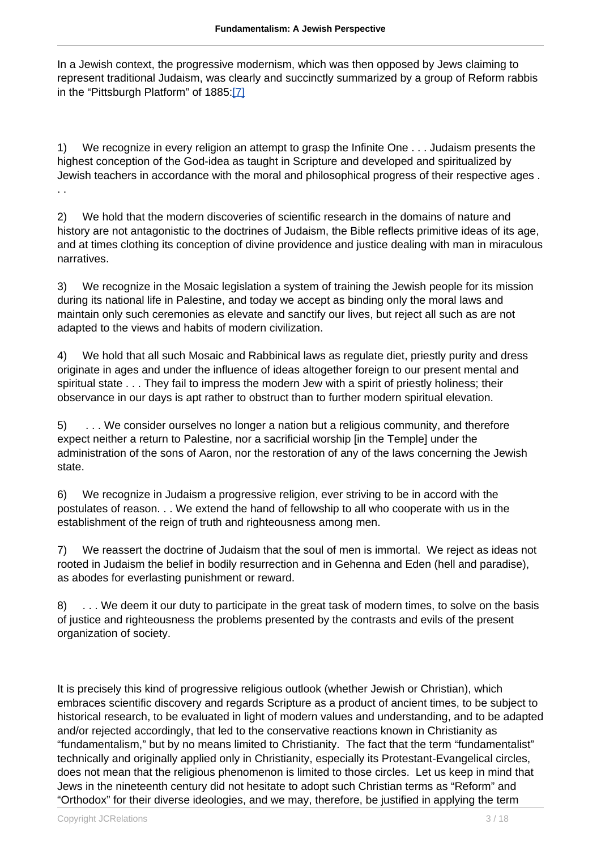In a Jewish context, the progressive modernism, which was then opposed by Jews claiming to represent traditional Judaism, was clearly and succinctly summarized by a group of Reform rabbis in the "Pittsburgh Platform" of 1885[:\[7\]](https://www.iccj.org/#fn_7)

1) We recognize in every religion an attempt to grasp the Infinite One . . . Judaism presents the highest conception of the God-idea as taught in Scripture and developed and spiritualized by Jewish teachers in accordance with the moral and philosophical progress of their respective ages . . .

2) We hold that the modern discoveries of scientific research in the domains of nature and history are not antagonistic to the doctrines of Judaism, the Bible reflects primitive ideas of its age, and at times clothing its conception of divine providence and justice dealing with man in miraculous narratives.

3) We recognize in the Mosaic legislation a system of training the Jewish people for its mission during its national life in Palestine, and today we accept as binding only the moral laws and maintain only such ceremonies as elevate and sanctify our lives, but reject all such as are not adapted to the views and habits of modern civilization.

4) We hold that all such Mosaic and Rabbinical laws as regulate diet, priestly purity and dress originate in ages and under the influence of ideas altogether foreign to our present mental and spiritual state . . . They fail to impress the modern Jew with a spirit of priestly holiness; their observance in our days is apt rather to obstruct than to further modern spiritual elevation.

5) . . . We consider ourselves no longer a nation but a religious community, and therefore expect neither a return to Palestine, nor a sacrificial worship [in the Temple] under the administration of the sons of Aaron, nor the restoration of any of the laws concerning the Jewish state.

6) We recognize in Judaism a progressive religion, ever striving to be in accord with the postulates of reason. . . We extend the hand of fellowship to all who cooperate with us in the establishment of the reign of truth and righteousness among men.

7) We reassert the doctrine of Judaism that the soul of men is immortal. We reject as ideas not rooted in Judaism the belief in bodily resurrection and in Gehenna and Eden (hell and paradise), as abodes for everlasting punishment or reward.

8) . . . We deem it our duty to participate in the great task of modern times, to solve on the basis of justice and righteousness the problems presented by the contrasts and evils of the present organization of society.

It is precisely this kind of progressive religious outlook (whether Jewish or Christian), which embraces scientific discovery and regards Scripture as a product of ancient times, to be subject to historical research, to be evaluated in light of modern values and understanding, and to be adapted and/or rejected accordingly, that led to the conservative reactions known in Christianity as "fundamentalism," but by no means limited to Christianity. The fact that the term "fundamentalist" technically and originally applied only in Christianity, especially its Protestant-Evangelical circles, does not mean that the religious phenomenon is limited to those circles. Let us keep in mind that Jews in the nineteenth century did not hesitate to adopt such Christian terms as "Reform" and "Orthodox" for their diverse ideologies, and we may, therefore, be justified in applying the term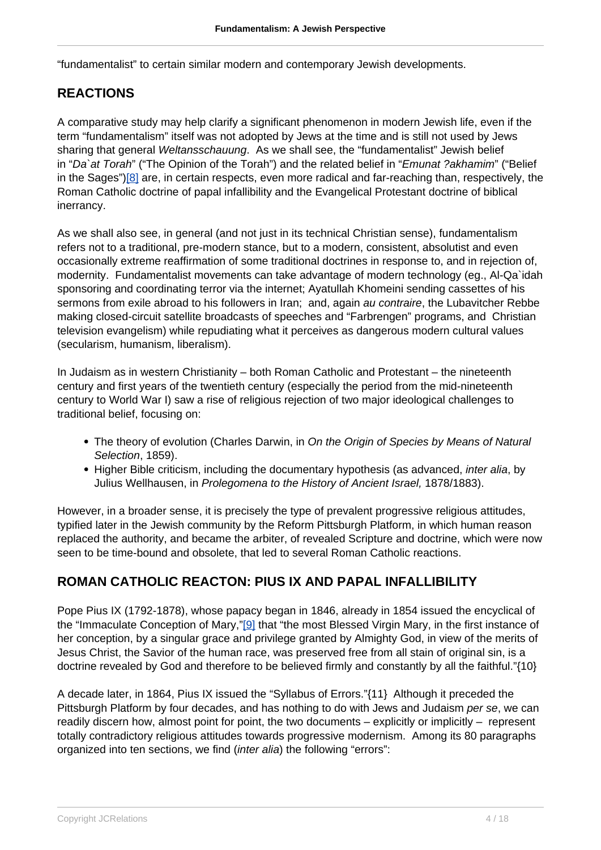"fundamentalist" to certain similar modern and contemporary Jewish developments.

#### **REACTIONS**

A comparative study may help clarify a significant phenomenon in modern Jewish life, even if the term "fundamentalism" itself was not adopted by Jews at the time and is still not used by Jews sharing that general *Weltansschauung*. As we shall see, the "fundamentalist" Jewish belief in "Da`at Torah" ("The Opinion of the Torah") and the related belief in "Emunat ?akhamim" ("Belief in the Sages"[\)\[8\]](https://www.iccj.org/#fn_8) are, in certain respects, even more radical and far-reaching than, respectively, the Roman Catholic doctrine of papal infallibility and the Evangelical Protestant doctrine of biblical inerrancy.

As we shall also see, in general (and not just in its technical Christian sense), fundamentalism refers not to a traditional, pre-modern stance, but to a modern, consistent, absolutist and even occasionally extreme reaffirmation of some traditional doctrines in response to, and in rejection of, modernity. Fundamentalist movements can take advantage of modern technology (eg., Al-Qa`idah sponsoring and coordinating terror via the internet; Ayatullah Khomeini sending cassettes of his sermons from exile abroad to his followers in Iran; and, again au contraire, the Lubavitcher Rebbe making closed-circuit satellite broadcasts of speeches and "Farbrengen" programs, and Christian television evangelism) while repudiating what it perceives as dangerous modern cultural values (secularism, humanism, liberalism).

In Judaism as in western Christianity – both Roman Catholic and Protestant – the nineteenth century and first years of the twentieth century (especially the period from the mid-nineteenth century to World War I) saw a rise of religious rejection of two major ideological challenges to traditional belief, focusing on:

- The theory of evolution (Charles Darwin, in On the Origin of Species by Means of Natural Selection, 1859).
- Higher Bible criticism, including the documentary hypothesis (as advanced, *inter alia*, by Julius Wellhausen, in Prolegomena to the History of Ancient Israel, 1878/1883).

However, in a broader sense, it is precisely the type of prevalent progressive religious attitudes, typified later in the Jewish community by the Reform Pittsburgh Platform, in which human reason replaced the authority, and became the arbiter, of revealed Scripture and doctrine, which were now seen to be time-bound and obsolete, that led to several Roman Catholic reactions.

#### **ROMAN CATHOLIC REACTON: PIUS IX AND PAPAL INFALLIBILITY**

Pope Pius IX (1792-1878), whose papacy began in 1846, already in 1854 issued the encyclical of the "Immaculate Conception of Mary,"[\[9\]](https://www.iccj.org/#fn_9) that "the most Blessed Virgin Mary, in the first instance of her conception, by a singular grace and privilege granted by Almighty God, in view of the merits of Jesus Christ, the Savior of the human race, was preserved free from all stain of original sin, is a doctrine revealed by God and therefore to be believed firmly and constantly by all the faithful."{10}

A decade later, in 1864, Pius IX issued the "Syllabus of Errors."{11} Although it preceded the Pittsburgh Platform by four decades, and has nothing to do with Jews and Judaism per se, we can readily discern how, almost point for point, the two documents – explicitly or implicitly – represent totally contradictory religious attitudes towards progressive modernism. Among its 80 paragraphs organized into ten sections, we find (inter alia) the following "errors":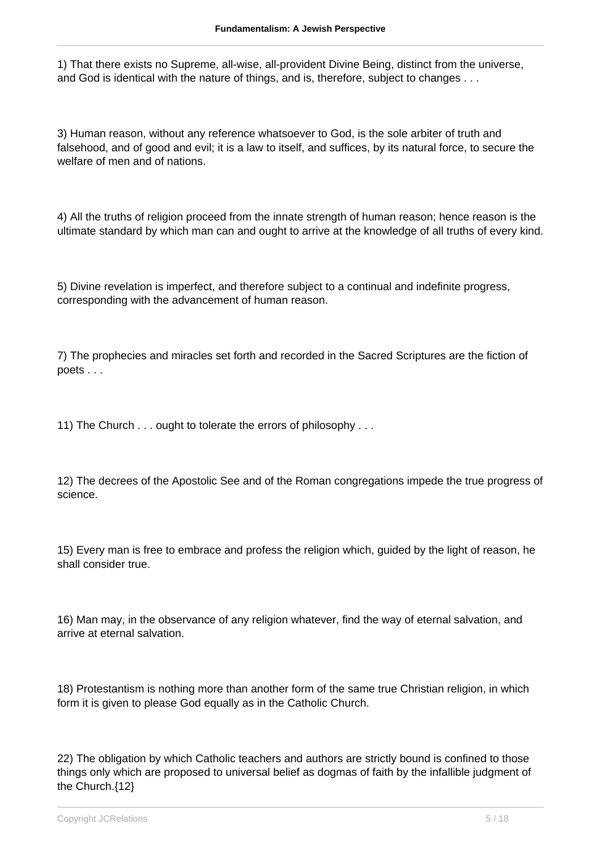1) That there exists no Supreme, all-wise, all-provident Divine Being, distinct from the universe, and God is identical with the nature of things, and is, therefore, subject to changes . . .

3) Human reason, without any reference whatsoever to God, is the sole arbiter of truth and falsehood, and of good and evil; it is a law to itself, and suffices, by its natural force, to secure the welfare of men and of nations.

4) All the truths of religion proceed from the innate strength of human reason; hence reason is the ultimate standard by which man can and ought to arrive at the knowledge of all truths of every kind.

5) Divine revelation is imperfect, and therefore subject to a continual and indefinite progress, corresponding with the advancement of human reason.

7) The prophecies and miracles set forth and recorded in the Sacred Scriptures are the fiction of poets . . .

11) The Church . . . ought to tolerate the errors of philosophy . . .

12) The decrees of the Apostolic See and of the Roman congregations impede the true progress of science.

15) Every man is free to embrace and profess the religion which, guided by the light of reason, he shall consider true.

16) Man may, in the observance of any religion whatever, find the way of eternal salvation, and arrive at eternal salvation.

18) Protestantism is nothing more than another form of the same true Christian religion, in which form it is given to please God equally as in the Catholic Church.

22) The obligation by which Catholic teachers and authors are strictly bound is confined to those things only which are proposed to universal belief as dogmas of faith by the infallible judgment of the Church.{12}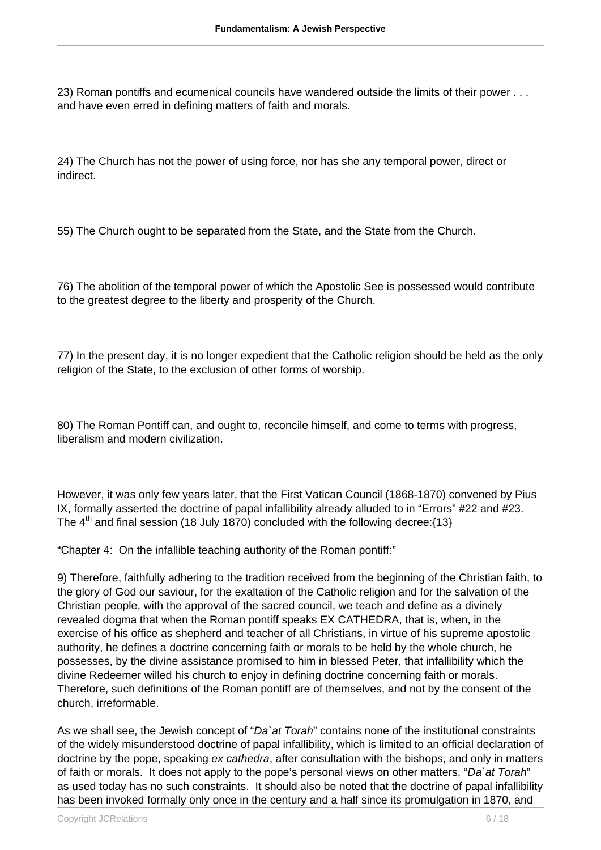23) Roman pontiffs and ecumenical councils have wandered outside the limits of their power . . . and have even erred in defining matters of faith and morals.

24) The Church has not the power of using force, nor has she any temporal power, direct or indirect.

55) The Church ought to be separated from the State, and the State from the Church.

76) The abolition of the temporal power of which the Apostolic See is possessed would contribute to the greatest degree to the liberty and prosperity of the Church.

77) In the present day, it is no longer expedient that the Catholic religion should be held as the only religion of the State, to the exclusion of other forms of worship.

80) The Roman Pontiff can, and ought to, reconcile himself, and come to terms with progress, liberalism and modern civilization.

However, it was only few years later, that the First Vatican Council (1868-1870) convened by Pius IX, formally asserted the doctrine of papal infallibility already alluded to in "Errors" #22 and #23. The  $4<sup>th</sup>$  and final session (18 July 1870) concluded with the following decree: $\{13\}$ 

"Chapter 4: On the infallible teaching authority of the Roman pontiff:"

9) Therefore, faithfully adhering to the tradition received from the beginning of the Christian faith, to the glory of God our saviour, for the exaltation of the Catholic religion and for the salvation of the Christian people, with the approval of the sacred council, we teach and define as a divinely revealed dogma that when the Roman pontiff speaks EX CATHEDRA, that is, when, in the exercise of his office as shepherd and teacher of all Christians, in virtue of his supreme apostolic authority, he defines a doctrine concerning faith or morals to be held by the whole church, he possesses, by the divine assistance promised to him in blessed Peter, that infallibility which the divine Redeemer willed his church to enjoy in defining doctrine concerning faith or morals. Therefore, such definitions of the Roman pontiff are of themselves, and not by the consent of the church, irreformable.

As we shall see, the Jewish concept of "Da at Torah" contains none of the institutional constraints of the widely misunderstood doctrine of papal infallibility, which is limited to an official declaration of doctrine by the pope, speaking ex cathedra, after consultation with the bishops, and only in matters of faith or morals. It does not apply to the pope's personal views on other matters. "Da`at Torah" as used today has no such constraints. It should also be noted that the doctrine of papal infallibility has been invoked formally only once in the century and a half since its promulgation in 1870, and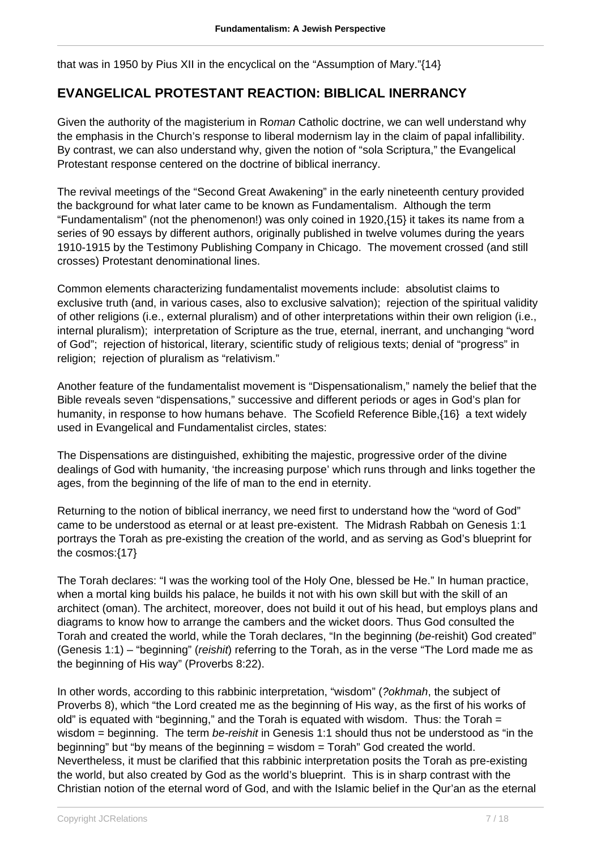that was in 1950 by Pius XII in the encyclical on the "Assumption of Mary."{14}

#### **EVANGELICAL PROTESTANT REACTION: BIBLICAL INERRANCY**

Given the authority of the magisterium in Roman Catholic doctrine, we can well understand why the emphasis in the Church's response to liberal modernism lay in the claim of papal infallibility. By contrast, we can also understand why, given the notion of "sola Scriptura," the Evangelical Protestant response centered on the doctrine of biblical inerrancy.

The revival meetings of the "Second Great Awakening" in the early nineteenth century provided the background for what later came to be known as Fundamentalism. Although the term "Fundamentalism" (not the phenomenon!) was only coined in 1920,{15} it takes its name from a series of 90 essays by different authors, originally published in twelve volumes during the years 1910-1915 by the Testimony Publishing Company in Chicago. The movement crossed (and still crosses) Protestant denominational lines.

Common elements characterizing fundamentalist movements include: absolutist claims to exclusive truth (and, in various cases, also to exclusive salvation); rejection of the spiritual validity of other religions (i.e., external pluralism) and of other interpretations within their own religion (i.e., internal pluralism); interpretation of Scripture as the true, eternal, inerrant, and unchanging "word of God"; rejection of historical, literary, scientific study of religious texts; denial of "progress" in religion; rejection of pluralism as "relativism."

Another feature of the fundamentalist movement is "Dispensationalism," namely the belief that the Bible reveals seven "dispensations," successive and different periods or ages in God's plan for humanity, in response to how humans behave. The Scofield Reference Bible,{16} a text widely used in Evangelical and Fundamentalist circles, states:

The Dispensations are distinguished, exhibiting the majestic, progressive order of the divine dealings of God with humanity, 'the increasing purpose' which runs through and links together the ages, from the beginning of the life of man to the end in eternity.

Returning to the notion of biblical inerrancy, we need first to understand how the "word of God" came to be understood as eternal or at least pre-existent. The Midrash Rabbah on Genesis 1:1 portrays the Torah as pre-existing the creation of the world, and as serving as God's blueprint for the cosmos:{17}

The Torah declares: "I was the working tool of the Holy One, blessed be He." In human practice, when a mortal king builds his palace, he builds it not with his own skill but with the skill of an architect (oman). The architect, moreover, does not build it out of his head, but employs plans and diagrams to know how to arrange the cambers and the wicket doors. Thus God consulted the Torah and created the world, while the Torah declares, "In the beginning (be-reishit) God created" (Genesis 1:1) – "beginning" (reishit) referring to the Torah, as in the verse "The Lord made me as the beginning of His way" (Proverbs 8:22).

In other words, according to this rabbinic interpretation, "wisdom" (?okhmah, the subject of Proverbs 8), which "the Lord created me as the beginning of His way, as the first of his works of old" is equated with "beginning," and the Torah is equated with wisdom. Thus: the Torah = wisdom = beginning. The term *be-reishit* in Genesis 1:1 should thus not be understood as "in the beginning" but "by means of the beginning  $=$  wisdom  $=$  Torah" God created the world. Nevertheless, it must be clarified that this rabbinic interpretation posits the Torah as pre-existing the world, but also created by God as the world's blueprint. This is in sharp contrast with the Christian notion of the eternal word of God, and with the Islamic belief in the Qur'an as the eternal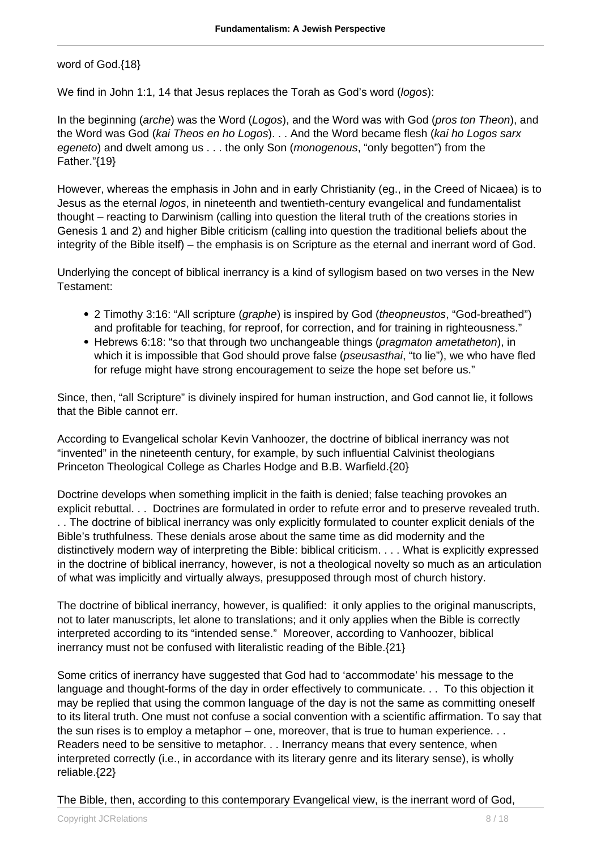word of God.{18}

We find in John 1:1, 14 that Jesus replaces the Torah as God's word (logos):

In the beginning (arche) was the Word (Logos), and the Word was with God (pros ton Theon), and the Word was God (kai Theos en ho Logos). . . And the Word became flesh (kai ho Logos sarx egeneto) and dwelt among us . . . the only Son (*monogenous*, "only begotten") from the Father."{19}

However, whereas the emphasis in John and in early Christianity (eg., in the Creed of Nicaea) is to Jesus as the eternal logos, in nineteenth and twentieth-century evangelical and fundamentalist thought – reacting to Darwinism (calling into question the literal truth of the creations stories in Genesis 1 and 2) and higher Bible criticism (calling into question the traditional beliefs about the integrity of the Bible itself) – the emphasis is on Scripture as the eternal and inerrant word of God.

Underlying the concept of biblical inerrancy is a kind of syllogism based on two verses in the New Testament:

- 2 Timothy 3:16: "All scripture (graphe) is inspired by God (theopneustos, "God-breathed") and profitable for teaching, for reproof, for correction, and for training in righteousness."
- Hebrews 6:18: "so that through two unchangeable things (pragmaton ametatheton), in which it is impossible that God should prove false (pseusasthai, "to lie"), we who have fled for refuge might have strong encouragement to seize the hope set before us."

Since, then, "all Scripture" is divinely inspired for human instruction, and God cannot lie, it follows that the Bible cannot err.

According to Evangelical scholar Kevin Vanhoozer, the doctrine of biblical inerrancy was not "invented" in the nineteenth century, for example, by such influential Calvinist theologians Princeton Theological College as Charles Hodge and B.B. Warfield.{20}

Doctrine develops when something implicit in the faith is denied; false teaching provokes an explicit rebuttal. . . Doctrines are formulated in order to refute error and to preserve revealed truth. . . The doctrine of biblical inerrancy was only explicitly formulated to counter explicit denials of the Bible's truthfulness. These denials arose about the same time as did modernity and the distinctively modern way of interpreting the Bible: biblical criticism. . . . What is explicitly expressed in the doctrine of biblical inerrancy, however, is not a theological novelty so much as an articulation of what was implicitly and virtually always, presupposed through most of church history.

The doctrine of biblical inerrancy, however, is qualified: it only applies to the original manuscripts, not to later manuscripts, let alone to translations; and it only applies when the Bible is correctly interpreted according to its "intended sense." Moreover, according to Vanhoozer, biblical inerrancy must not be confused with literalistic reading of the Bible.{21}

Some critics of inerrancy have suggested that God had to 'accommodate' his message to the language and thought-forms of the day in order effectively to communicate. . . To this objection it may be replied that using the common language of the day is not the same as committing oneself to its literal truth. One must not confuse a social convention with a scientific affirmation. To say that the sun rises is to employ a metaphor – one, moreover, that is true to human experience. . . Readers need to be sensitive to metaphor. . . Inerrancy means that every sentence, when interpreted correctly (i.e., in accordance with its literary genre and its literary sense), is wholly reliable.{22}

The Bible, then, according to this contemporary Evangelical view, is the inerrant word of God,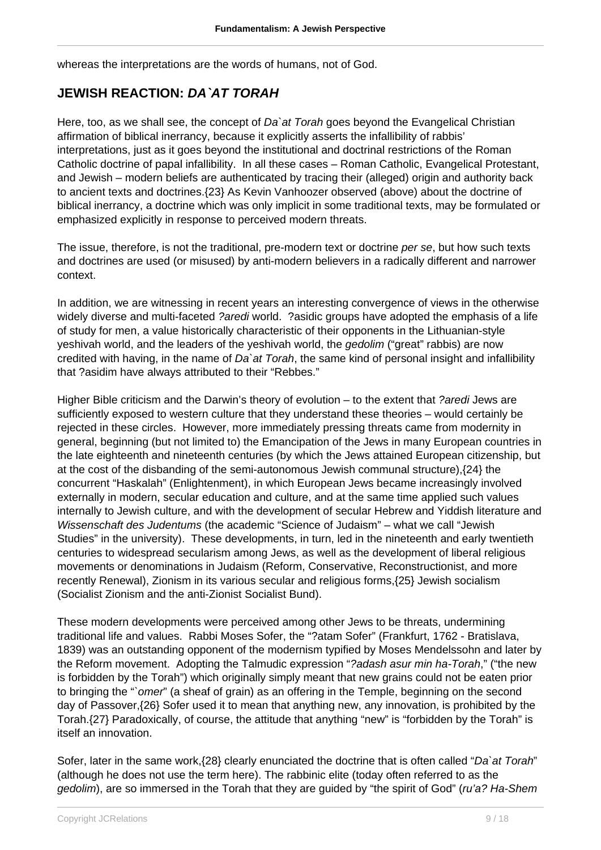whereas the interpretations are the words of humans, not of God.

#### **JEWISH REACTION: DA`AT TORAH**

Here, too, as we shall see, the concept of Da'at Torah goes beyond the Evangelical Christian affirmation of biblical inerrancy, because it explicitly asserts the infallibility of rabbis' interpretations, just as it goes beyond the institutional and doctrinal restrictions of the Roman Catholic doctrine of papal infallibility. In all these cases – Roman Catholic, Evangelical Protestant, and Jewish – modern beliefs are authenticated by tracing their (alleged) origin and authority back to ancient texts and doctrines.{23} As Kevin Vanhoozer observed (above) about the doctrine of biblical inerrancy, a doctrine which was only implicit in some traditional texts, may be formulated or emphasized explicitly in response to perceived modern threats.

The issue, therefore, is not the traditional, pre-modern text or doctrine per se, but how such texts and doctrines are used (or misused) by anti-modern believers in a radically different and narrower context.

In addition, we are witnessing in recent years an interesting convergence of views in the otherwise widely diverse and multi-faceted ?aredi world. ?asidic groups have adopted the emphasis of a life of study for men, a value historically characteristic of their opponents in the Lithuanian-style yeshivah world, and the leaders of the yeshivah world, the gedolim ("great" rabbis) are now credited with having, in the name of Da'at Torah, the same kind of personal insight and infallibility that ?asidim have always attributed to their "Rebbes."

Higher Bible criticism and the Darwin's theory of evolution – to the extent that ?aredi Jews are sufficiently exposed to western culture that they understand these theories – would certainly be rejected in these circles. However, more immediately pressing threats came from modernity in general, beginning (but not limited to) the Emancipation of the Jews in many European countries in the late eighteenth and nineteenth centuries (by which the Jews attained European citizenship, but at the cost of the disbanding of the semi-autonomous Jewish communal structure),{24} the concurrent "Haskalah" (Enlightenment), in which European Jews became increasingly involved externally in modern, secular education and culture, and at the same time applied such values internally to Jewish culture, and with the development of secular Hebrew and Yiddish literature and Wissenschaft des Judentums (the academic "Science of Judaism" – what we call "Jewish Studies" in the university). These developments, in turn, led in the nineteenth and early twentieth centuries to widespread secularism among Jews, as well as the development of liberal religious movements or denominations in Judaism (Reform, Conservative, Reconstructionist, and more recently Renewal), Zionism in its various secular and religious forms,{25} Jewish socialism (Socialist Zionism and the anti-Zionist Socialist Bund).

These modern developments were perceived among other Jews to be threats, undermining traditional life and values. Rabbi Moses Sofer, the "?atam Sofer" (Frankfurt, 1762 - Bratislava, 1839) was an outstanding opponent of the modernism typified by Moses Mendelssohn and later by the Reform movement. Adopting the Talmudic expression "?adash asur min ha-Torah," ("the new is forbidden by the Torah") which originally simply meant that new grains could not be eaten prior to bringing the "`omer" (a sheaf of grain) as an offering in the Temple, beginning on the second day of Passover,{26} Sofer used it to mean that anything new, any innovation, is prohibited by the Torah.{27} Paradoxically, of course, the attitude that anything "new" is "forbidden by the Torah" is itself an innovation.

Sofer, later in the same work, {28} clearly enunciated the doctrine that is often called "Da`at Torah" (although he does not use the term here). The rabbinic elite (today often referred to as the gedolim), are so immersed in the Torah that they are guided by "the spirit of God" (ru'a? Ha-Shem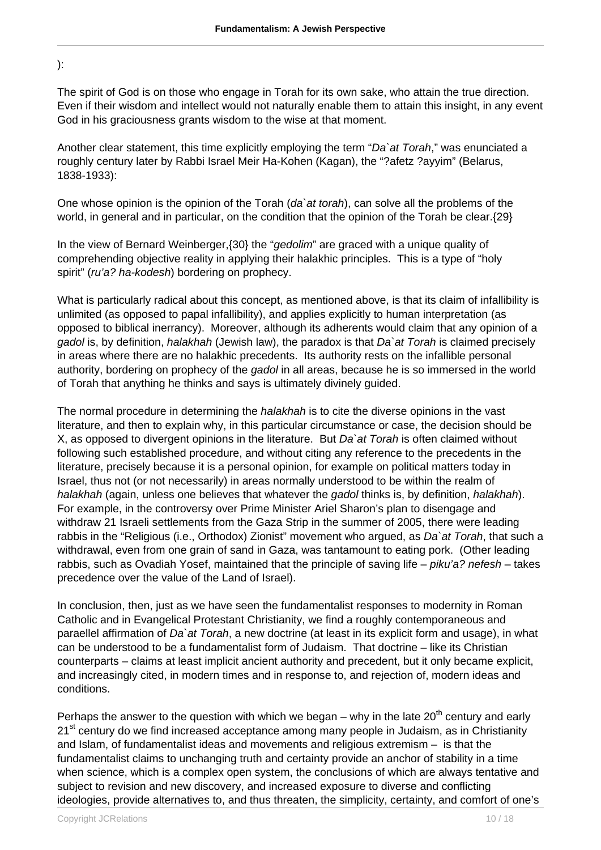):

The spirit of God is on those who engage in Torah for its own sake, who attain the true direction. Even if their wisdom and intellect would not naturally enable them to attain this insight, in any event God in his graciousness grants wisdom to the wise at that moment.

Another clear statement, this time explicitly employing the term "Da`at Torah," was enunciated a roughly century later by Rabbi Israel Meir Ha-Kohen (Kagan), the "?afetz ?ayyim" (Belarus, 1838-1933):

One whose opinion is the opinion of the Torah ( $da$ `at torah), can solve all the problems of the world, in general and in particular, on the condition that the opinion of the Torah be clear.{29}

In the view of Bernard Weinberger,{30} the "gedolim" are graced with a unique quality of comprehending objective reality in applying their halakhic principles. This is a type of "holy spirit" (ru'a? ha-kodesh) bordering on prophecy.

What is particularly radical about this concept, as mentioned above, is that its claim of infallibility is unlimited (as opposed to papal infallibility), and applies explicitly to human interpretation (as opposed to biblical inerrancy). Moreover, although its adherents would claim that any opinion of a gadol is, by definition, halakhah (Jewish law), the paradox is that Da'at Torah is claimed precisely in areas where there are no halakhic precedents. Its authority rests on the infallible personal authority, bordering on prophecy of the gadol in all areas, because he is so immersed in the world of Torah that anything he thinks and says is ultimately divinely guided.

The normal procedure in determining the *halakhah* is to cite the diverse opinions in the vast literature, and then to explain why, in this particular circumstance or case, the decision should be X, as opposed to divergent opinions in the literature. But Da at Torah is often claimed without following such established procedure, and without citing any reference to the precedents in the literature, precisely because it is a personal opinion, for example on political matters today in Israel, thus not (or not necessarily) in areas normally understood to be within the realm of halakhah (again, unless one believes that whatever the gadol thinks is, by definition, halakhah). For example, in the controversy over Prime Minister Ariel Sharon's plan to disengage and withdraw 21 Israeli settlements from the Gaza Strip in the summer of 2005, there were leading rabbis in the "Religious (i.e., Orthodox) Zionist" movement who argued, as Da'at Torah, that such a withdrawal, even from one grain of sand in Gaza, was tantamount to eating pork. (Other leading rabbis, such as Ovadiah Yosef, maintained that the principle of saving life – piku'a? nefesh – takes precedence over the value of the Land of Israel).

In conclusion, then, just as we have seen the fundamentalist responses to modernity in Roman Catholic and in Evangelical Protestant Christianity, we find a roughly contemporaneous and paraellel affirmation of Da`at Torah, a new doctrine (at least in its explicit form and usage), in what can be understood to be a fundamentalist form of Judaism. That doctrine – like its Christian counterparts – claims at least implicit ancient authority and precedent, but it only became explicit, and increasingly cited, in modern times and in response to, and rejection of, modern ideas and conditions.

Perhaps the answer to the question with which we began – why in the late  $20<sup>th</sup>$  century and early  $21<sup>st</sup>$  century do we find increased acceptance among many people in Judaism, as in Christianity and Islam, of fundamentalist ideas and movements and religious extremism – is that the fundamentalist claims to unchanging truth and certainty provide an anchor of stability in a time when science, which is a complex open system, the conclusions of which are always tentative and subject to revision and new discovery, and increased exposure to diverse and conflicting ideologies, provide alternatives to, and thus threaten, the simplicity, certainty, and comfort of one's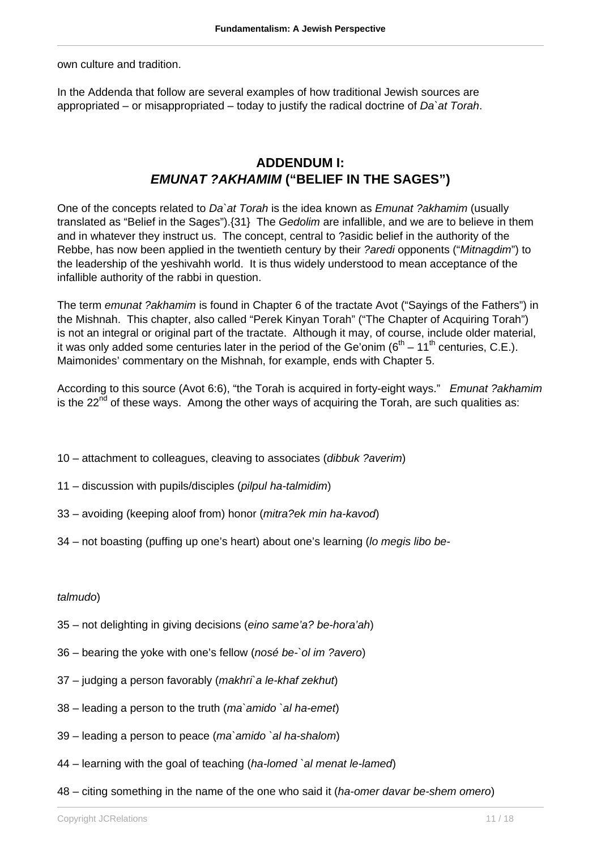own culture and tradition.

In the Addenda that follow are several examples of how traditional Jewish sources are appropriated – or misappropriated – today to justify the radical doctrine of  $Da$  at Torah.

#### **ADDENDUM I: EMUNAT ?AKHAMIM ("BELIEF IN THE SAGES")**

One of the concepts related to Da at Torah is the idea known as *Emunat ?akhamim* (usually translated as "Belief in the Sages").{31} The Gedolim are infallible, and we are to believe in them and in whatever they instruct us. The concept, central to ?asidic belief in the authority of the Rebbe, has now been applied in the twentieth century by their ?aredi opponents ("Mitnagdim") to the leadership of the yeshivahh world. It is thus widely understood to mean acceptance of the infallible authority of the rabbi in question.

The term emunat ?akhamim is found in Chapter 6 of the tractate Avot ("Sayings of the Fathers") in the Mishnah. This chapter, also called "Perek Kinyan Torah" ("The Chapter of Acquiring Torah") is not an integral or original part of the tractate. Although it may, of course, include older material, it was only added some centuries later in the period of the Ge'onim ( $6<sup>th</sup> - 11<sup>th</sup>$  centuries, C.E.). Maimonides' commentary on the Mishnah, for example, ends with Chapter 5.

According to this source (Avot 6:6), "the Torah is acquired in forty-eight ways." Emunat ?akhamim is the  $22<sup>nd</sup>$  of these ways. Among the other ways of acquiring the Torah, are such qualities as:

- 10 attachment to colleagues, cleaving to associates (dibbuk ?averim)
- 11 discussion with pupils/disciples (pilpul ha-talmidim)
- 33 avoiding (keeping aloof from) honor (mitra?ek min ha-kavod)
- 34 not boasting (puffing up one's heart) about one's learning (lo megis libo be-

#### talmudo)

- 35 not delighting in giving decisions (eino same'a? be-hora'ah)
- 36 bearing the yoke with one's fellow (nosé be-`ol im ?avero)
- 37 judging a person favorably (makhri`a le-khaf zekhut)
- 38 leading a person to the truth (ma`amido `al ha-emet)
- 39 leading a person to peace (ma`amido `al ha-shalom)
- 44 learning with the goal of teaching (ha-lomed `al menat le-lamed)
- 48 citing something in the name of the one who said it (ha-omer davar be-shem omero)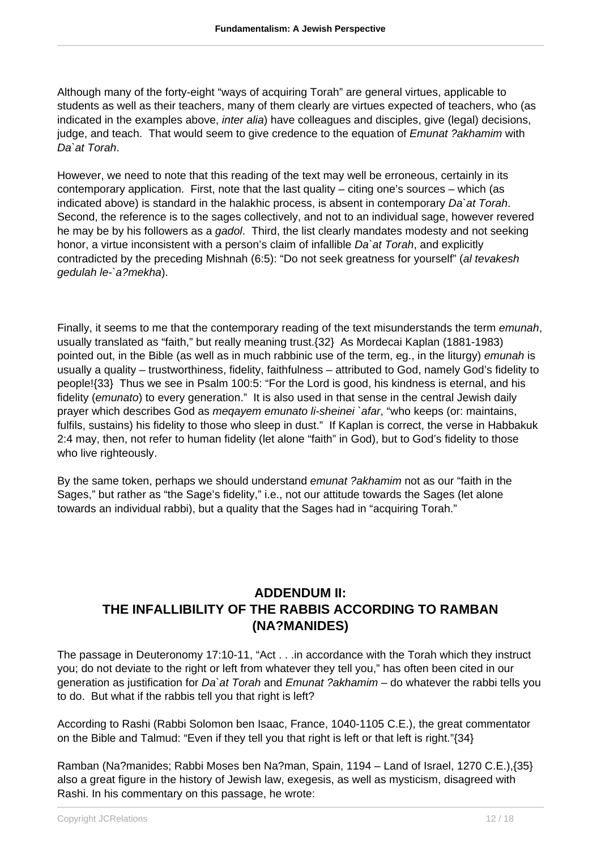Although many of the forty-eight "ways of acquiring Torah" are general virtues, applicable to students as well as their teachers, many of them clearly are virtues expected of teachers, who (as indicated in the examples above, *inter alia*) have colleagues and disciples, give (legal) decisions, judge, and teach. That would seem to give credence to the equation of *Emunat ?akhamim* with Da`at Torah.

However, we need to note that this reading of the text may well be erroneous, certainly in its contemporary application. First, note that the last quality – citing one's sources – which (as indicated above) is standard in the halakhic process, is absent in contemporary Da`at Torah. Second, the reference is to the sages collectively, and not to an individual sage, however revered he may be by his followers as a gadol. Third, the list clearly mandates modesty and not seeking honor, a virtue inconsistent with a person's claim of infallible Da'at Torah, and explicitly contradicted by the preceding Mishnah (6:5): "Do not seek greatness for yourself" (al tevakesh gedulah le-`a?mekha).

Finally, it seems to me that the contemporary reading of the text misunderstands the term *emunah*, usually translated as "faith," but really meaning trust.{32} As Mordecai Kaplan (1881-1983) pointed out, in the Bible (as well as in much rabbinic use of the term, eg., in the liturgy) emunah is usually a quality – trustworthiness, fidelity, faithfulness – attributed to God, namely God's fidelity to people!{33} Thus we see in Psalm 100:5: "For the Lord is good, his kindness is eternal, and his fidelity (emunato) to every generation." It is also used in that sense in the central Jewish daily prayer which describes God as meqayem emunato li-sheinei `afar, "who keeps (or: maintains, fulfils, sustains) his fidelity to those who sleep in dust." If Kaplan is correct, the verse in Habbakuk 2:4 may, then, not refer to human fidelity (let alone "faith" in God), but to God's fidelity to those who live righteously.

By the same token, perhaps we should understand emunat ?akhamim not as our "faith in the Sages," but rather as "the Sage's fidelity," i.e., not our attitude towards the Sages (let alone towards an individual rabbi), but a quality that the Sages had in "acquiring Torah."

## **ADDENDUM II: THE INFALLIBILITY OF THE RABBIS ACCORDING TO RAMBAN (NA?MANIDES)**

The passage in Deuteronomy 17:10-11, "Act . . .in accordance with the Torah which they instruct you; do not deviate to the right or left from whatever they tell you," has often been cited in our generation as justification for Da at Torah and Emunat ?akhamim – do whatever the rabbi tells you to do. But what if the rabbis tell you that right is left?

According to Rashi (Rabbi Solomon ben Isaac, France, 1040-1105 C.E.), the great commentator on the Bible and Talmud: "Even if they tell you that right is left or that left is right."{34}

Ramban (Na?manides; Rabbi Moses ben Na?man, Spain, 1194 – Land of Israel, 1270 C.E.),{35} also a great figure in the history of Jewish law, exegesis, as well as mysticism, disagreed with Rashi. In his commentary on this passage, he wrote: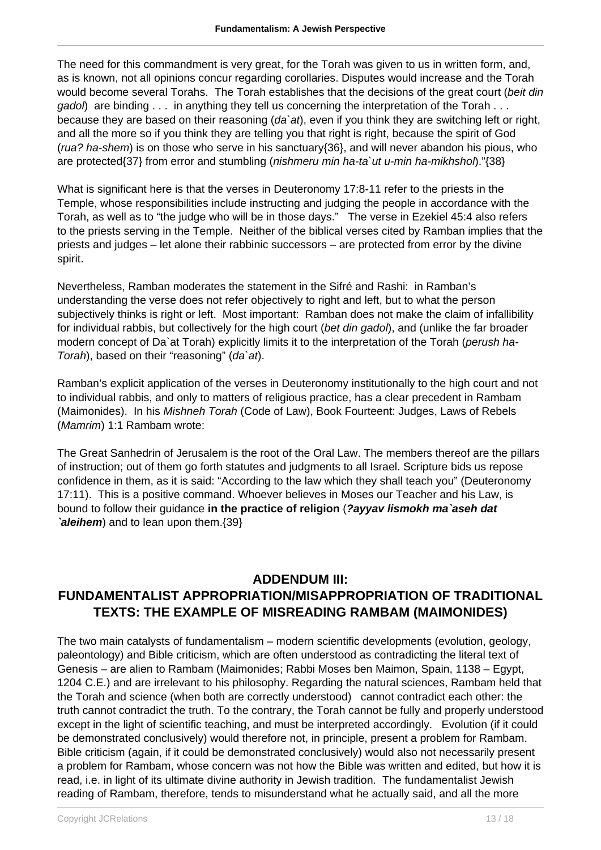The need for this commandment is very great, for the Torah was given to us in written form, and, as is known, not all opinions concur regarding corollaries. Disputes would increase and the Torah would become several Torahs. The Torah establishes that the decisions of the great court (beit din  $q \dot{q}$  are binding  $\ldots$  in anything they tell us concerning the interpretation of the Torah  $\ldots$ because they are based on their reasoning (da'at), even if you think they are switching left or right, and all the more so if you think they are telling you that right is right, because the spirit of God (rua? ha-shem) is on those who serve in his sanctuary{36}, and will never abandon his pious, who are protected{37} from error and stumbling (nishmeru min ha-ta`ut u-min ha-mikhshol)."{38}

What is significant here is that the verses in Deuteronomy 17:8-11 refer to the priests in the Temple, whose responsibilities include instructing and judging the people in accordance with the Torah, as well as to "the judge who will be in those days." The verse in Ezekiel 45:4 also refers to the priests serving in the Temple. Neither of the biblical verses cited by Ramban implies that the priests and judges – let alone their rabbinic successors – are protected from error by the divine spirit.

Nevertheless, Ramban moderates the statement in the Sifré and Rashi: in Ramban's understanding the verse does not refer objectively to right and left, but to what the person subjectively thinks is right or left. Most important: Ramban does not make the claim of infallibility for individual rabbis, but collectively for the high court (bet din gadol), and (unlike the far broader modern concept of Da'at Torah) explicitly limits it to the interpretation of the Torah (perush ha-Torah), based on their "reasoning" (da`at).

Ramban's explicit application of the verses in Deuteronomy institutionally to the high court and not to individual rabbis, and only to matters of religious practice, has a clear precedent in Rambam (Maimonides). In his Mishneh Torah (Code of Law), Book Fourteent: Judges, Laws of Rebels (Mamrim) 1:1 Rambam wrote:

The Great Sanhedrin of Jerusalem is the root of the Oral Law. The members thereof are the pillars of instruction; out of them go forth statutes and judgments to all Israel. Scripture bids us repose confidence in them, as it is said: "According to the law which they shall teach you" (Deuteronomy 17:11). This is a positive command. Whoever believes in Moses our Teacher and his Law, is bound to follow their guidance **in the practice of religion** (**?ayyav lismokh ma`aseh dat `aleihem**) and to lean upon them.{39}

## **ADDENDUM III: FUNDAMENTALIST APPROPRIATION/MISAPPROPRIATION OF TRADITIONAL TEXTS: THE EXAMPLE OF MISREADING RAMBAM (MAIMONIDES)**

The two main catalysts of fundamentalism – modern scientific developments (evolution, geology, paleontology) and Bible criticism, which are often understood as contradicting the literal text of Genesis – are alien to Rambam (Maimonides; Rabbi Moses ben Maimon, Spain, 1138 – Egypt, 1204 C.E.) and are irrelevant to his philosophy. Regarding the natural sciences, Rambam held that the Torah and science (when both are correctly understood) cannot contradict each other: the truth cannot contradict the truth. To the contrary, the Torah cannot be fully and properly understood except in the light of scientific teaching, and must be interpreted accordingly. Evolution (if it could be demonstrated conclusively) would therefore not, in principle, present a problem for Rambam. Bible criticism (again, if it could be demonstrated conclusively) would also not necessarily present a problem for Rambam, whose concern was not how the Bible was written and edited, but how it is read, i.e. in light of its ultimate divine authority in Jewish tradition. The fundamentalist Jewish reading of Rambam, therefore, tends to misunderstand what he actually said, and all the more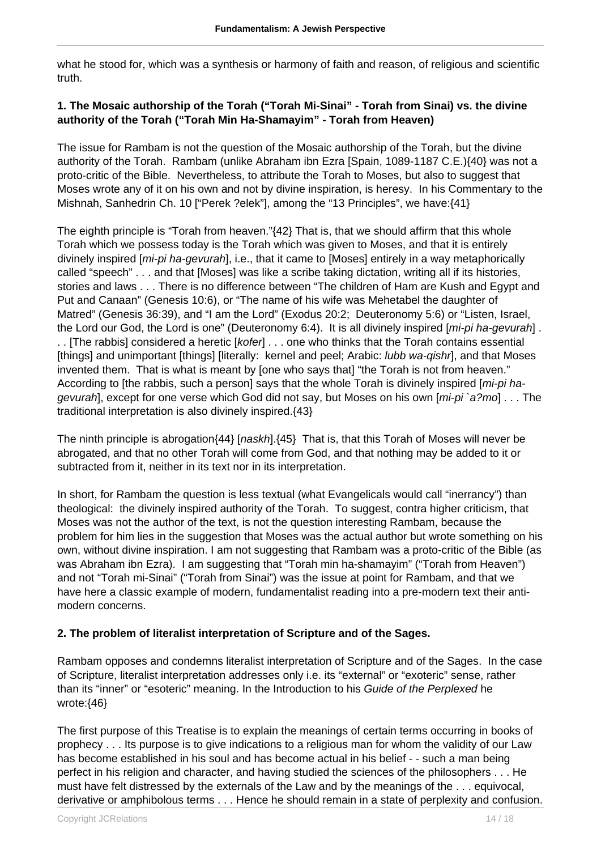what he stood for, which was a synthesis or harmony of faith and reason, of religious and scientific truth.

#### **1. The Mosaic authorship of the Torah ("Torah Mi-Sinai" - Torah from Sinai) vs. the divine authority of the Torah ("Torah Min Ha-Shamayim" - Torah from Heaven)**

The issue for Rambam is not the question of the Mosaic authorship of the Torah, but the divine authority of the Torah. Rambam (unlike Abraham ibn Ezra [Spain, 1089-1187 C.E.){40} was not a proto-critic of the Bible. Nevertheless, to attribute the Torah to Moses, but also to suggest that Moses wrote any of it on his own and not by divine inspiration, is heresy. In his Commentary to the Mishnah, Sanhedrin Ch. 10 ["Perek ?elek"], among the "13 Principles", we have: {41}

The eighth principle is "Torah from heaven."{42} That is, that we should affirm that this whole Torah which we possess today is the Torah which was given to Moses, and that it is entirely divinely inspired [mi-pi ha-gevurah], i.e., that it came to [Moses] entirely in a way metaphorically called "speech" . . . and that [Moses] was like a scribe taking dictation, writing all if its histories, stories and laws . . . There is no difference between "The children of Ham are Kush and Egypt and Put and Canaan" (Genesis 10:6), or "The name of his wife was Mehetabel the daughter of Matred" (Genesis 36:39), and "I am the Lord" (Exodus 20:2; Deuteronomy 5:6) or "Listen, Israel, the Lord our God, the Lord is one" (Deuteronomy 6:4). It is all divinely inspired [*mi-pi ha-gevurah*]. . . [The rabbis] considered a heretic [kofer] . . . one who thinks that the Torah contains essential [things] and unimportant [things] [literally: kernel and peel; Arabic: lubb wa-qishr], and that Moses invented them. That is what is meant by [one who says that] "the Torah is not from heaven." According to [the rabbis, such a person] says that the whole Torah is divinely inspired [*mi-pi ha*gevurah], except for one verse which God did not say, but Moses on his own [mi-pi `a?mo] . . . The traditional interpretation is also divinely inspired.{43}

The ninth principle is abrogation $(44)$  [naskh]. $(45)$  That is, that this Torah of Moses will never be abrogated, and that no other Torah will come from God, and that nothing may be added to it or subtracted from it, neither in its text nor in its interpretation.

In short, for Rambam the question is less textual (what Evangelicals would call "inerrancy") than theological: the divinely inspired authority of the Torah. To suggest, contra higher criticism, that Moses was not the author of the text, is not the question interesting Rambam, because the problem for him lies in the suggestion that Moses was the actual author but wrote something on his own, without divine inspiration. I am not suggesting that Rambam was a proto-critic of the Bible (as was Abraham ibn Ezra). I am suggesting that "Torah min ha-shamayim" ("Torah from Heaven") and not "Torah mi-Sinai" ("Torah from Sinai") was the issue at point for Rambam, and that we have here a classic example of modern, fundamentalist reading into a pre-modern text their antimodern concerns.

#### **2. The problem of literalist interpretation of Scripture and of the Sages.**

Rambam opposes and condemns literalist interpretation of Scripture and of the Sages. In the case of Scripture, literalist interpretation addresses only i.e. its "external" or "exoteric" sense, rather than its "inner" or "esoteric" meaning. In the Introduction to his Guide of the Perplexed he wrote:{46}

The first purpose of this Treatise is to explain the meanings of certain terms occurring in books of prophecy . . . Its purpose is to give indications to a religious man for whom the validity of our Law has become established in his soul and has become actual in his belief - - such a man being perfect in his religion and character, and having studied the sciences of the philosophers . . . He must have felt distressed by the externals of the Law and by the meanings of the . . . equivocal, derivative or amphibolous terms . . . Hence he should remain in a state of perplexity and confusion.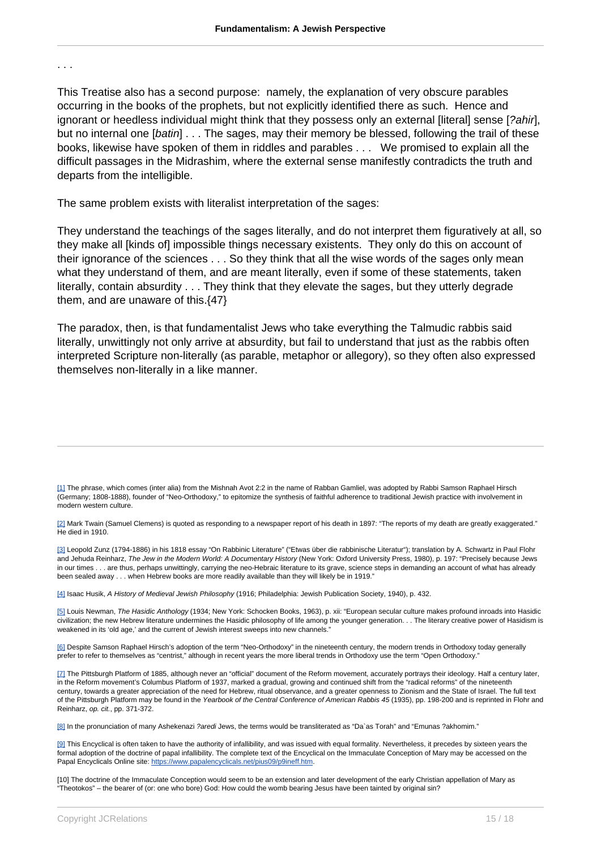. . .

This Treatise also has a second purpose: namely, the explanation of very obscure parables occurring in the books of the prophets, but not explicitly identified there as such. Hence and ignorant or heedless individual might think that they possess only an external [literal] sense [?ahir], but no internal one [batin] . . . The sages, may their memory be blessed, following the trail of these books, likewise have spoken of them in riddles and parables . . . We promised to explain all the difficult passages in the Midrashim, where the external sense manifestly contradicts the truth and departs from the intelligible.

The same problem exists with literalist interpretation of the sages:

They understand the teachings of the sages literally, and do not interpret them figuratively at all, so they make all [kinds of] impossible things necessary existents. They only do this on account of their ignorance of the sciences . . . So they think that all the wise words of the sages only mean what they understand of them, and are meant literally, even if some of these statements, taken literally, contain absurdity . . . They think that they elevate the sages, but they utterly degrade them, and are unaware of this.{47}

The paradox, then, is that fundamentalist Jews who take everything the Talmudic rabbis said literally, unwittingly not only arrive at absurdity, but fail to understand that just as the rabbis often interpreted Scripture non-literally (as parable, metaphor or allegory), so they often also expressed themselves non-literally in a like manner.

[3] Leopold Zunz (1794-1886) in his 1818 essay "On Rabbinic Literature" ("Etwas über die rabbinische Literatur"); translation by A. Schwartz in Paul Flohr and Jehuda Reinharz, The Jew in the Modern World: A Documentary History (New York: Oxford University Press, 1980), p. 197: "Precisely because Jews in our times . . . are thus, perhaps unwittingly, carrying the neo-Hebraic literature to its grave, science steps in demanding an account of what has already been sealed away . . . when Hebrew books are more readily available than they will likely be in 1919."

[4] Isaac Husik, A History of Medieval Jewish Philosophy (1916; Philadelphia: Jewish Publication Society, 1940), p. 432.

[5] Louis Newman, The Hasidic Anthology (1934; New York: Schocken Books, 1963), p. xii: "European secular culture makes profound inroads into Hasidic civilization; the new Hebrew literature undermines the Hasidic philosophy of life among the younger generation. . . The literary creative power of Hasidism is weakened in its 'old age,' and the current of Jewish interest sweeps into new channels."

[6] Despite Samson Raphael Hirsch's adoption of the term "Neo-Orthodoxy" in the nineteenth century, the modern trends in Orthodoxy today generally prefer to refer to themselves as "centrist," although in recent years the more liberal trends in Orthodoxy use the term "Open Orthodoxy."

[7] The Pittsburgh Platform of 1885, although never an "official" document of the Reform movement, accurately portrays their ideology. Half a century later, in the Reform movement's Columbus Platform of 1937, marked a gradual, growing and continued shift from the "radical reforms" of the nineteenth century, towards a greater appreciation of the need for Hebrew, ritual observance, and a greater openness to Zionism and the State of Israel. The full text of the Pittsburgh Platform may be found in the Yearbook of the Central Conference of American Rabbis 45 (1935), pp. 198-200 and is reprinted in Flohr and Reinharz, op. cit., pp. 371-372.

[8] In the pronunciation of many Ashekenazi *?aredi Jews*, the terms would be transliterated as "Da`as Torah" and "Emunas ?akhomim."

[9] This Encyclical is often taken to have the authority of infallibility, and was issued with equal formality. Nevertheless, it precedes by sixteen years the formal adoption of the doctrine of papal infallibility. The complete text of the Encyclical on the Immaculate Conception of Mary may be accessed on the Papal Encyclicals Online site: [https://www.papalencyclicals.net/pius09/p9ineff.htm.](https://www.papalencyclicals.net/pius09/p9ineff.htm)

[10] The doctrine of the Immaculate Conception would seem to be an extension and later development of the early Christian appellation of Mary as "Theotokos" – the bearer of (or: one who bore) God: How could the womb bearing Jesus have been tainted by original sin?

<sup>[1]</sup> The phrase, which comes (inter alia) from the Mishnah Avot 2:2 in the name of Rabban Gamliel, was adopted by Rabbi Samson Raphael Hirsch (Germany; 1808-1888), founder of "Neo-Orthodoxy," to epitomize the synthesis of faithful adherence to traditional Jewish practice with involvement in modern western culture.

<sup>[2]</sup> Mark Twain (Samuel Clemens) is quoted as responding to a newspaper report of his death in 1897: "The reports of my death are greatly exaggerated." He died in 1910.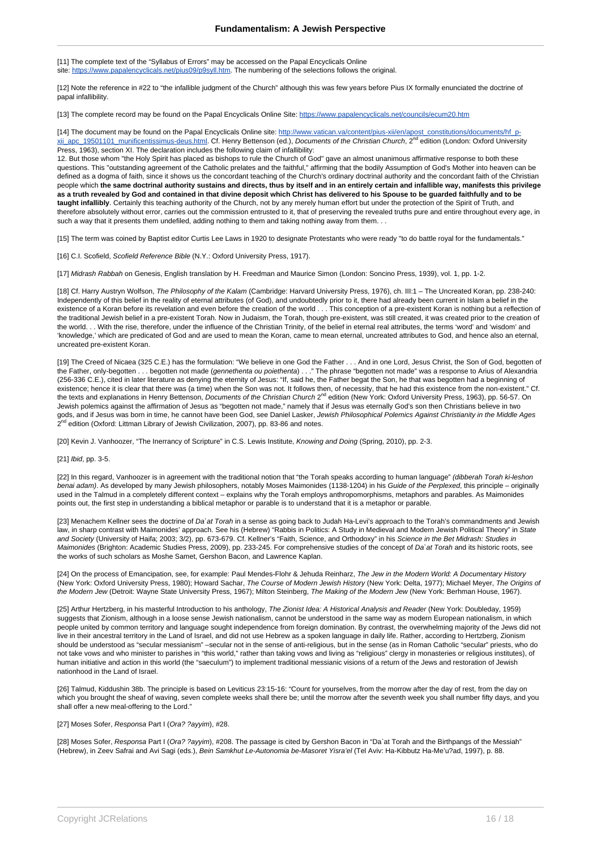[11] The complete text of the "Syllabus of Errors" may be accessed on the Papal Encyclicals Online site:<https://www.papalencyclicals.net/pius09/p9syll.htm>. The numbering of the selections follows the original.

[12] Note the reference in #22 to "the infallible judgment of the Church" although this was few years before Pius IX formally enunciated the doctrine of papal infallibility.

[13] The complete record may be found on the Papal Encyclicals Online Site: <https://www.papalencyclicals.net/councils/ecum20.htm>

[14] The document may be found on the Papal Encyclicals Online site: [http://www.vatican.va/content/pius-xii/en/apost\\_constitutions/documents/hf\\_p](http://www.vatican.va/content/pius-xii/en/apost_constitutions/documents/hf_p-xii_apc_19501101_munificentissimus-deus.html)[xii\\_apc\\_19501101\\_munificentissimus-deus.html](http://www.vatican.va/content/pius-xii/en/apost_constitutions/documents/hf_p-xii_apc_19501101_munificentissimus-deus.html). Cf. Henry Bettenson (ed.), Documents of the Christian Church, 2<sup>nd</sup> edition (London: Oxford University Press, 1963), section XI. The declaration includes the following claim of infallibility:

12. But those whom "the Holy Spirit has placed as bishops to rule the Church of God" gave an almost unanimous affirmative response to both these questions. This "outstanding agreement of the Catholic prelates and the faithful," affirming that the bodily Assumption of God's Mother into heaven can be defined as a dogma of faith, since it shows us the concordant teaching of the Church's ordinary doctrinal authority and the concordant faith of the Christian people which **the same doctrinal authority sustains and directs, thus by itself and in an entirely certain and infallible way, manifests this privilege as a truth revealed by God and contained in that divine deposit which Christ has delivered to his Spouse to be guarded faithfully and to be taught infallibly**. Certainly this teaching authority of the Church, not by any merely human effort but under the protection of the Spirit of Truth, and therefore absolutely without error, carries out the commission entrusted to it, that of preserving the revealed truths pure and entire throughout every age, in such a way that it presents them undefiled, adding nothing to them and taking nothing away from them. . .

[15] The term was coined by Baptist editor Curtis Lee Laws in 1920 to designate Protestants who were ready "to do battle royal for the fundamentals."

[16] C.I. Scofield, Scofield Reference Bible (N.Y.: Oxford University Press, 1917).

[17] Midrash Rabbah on Genesis, English translation by H. Freedman and Maurice Simon (London: Soncino Press, 1939), vol. 1, pp. 1-2.

[18] Cf. Harry Austryn Wolfson, The Philosophy of the Kalam (Cambridge: Harvard University Press, 1976), ch. III:1 - The Uncreated Koran, pp. 238-240: Independently of this belief in the reality of eternal attributes (of God), and undoubtedly prior to it, there had already been current in Islam a belief in the existence of a Koran before its revelation and even before the creation of the world . . . This conception of a pre-existent Koran is nothing but a reflection of the traditional Jewish belief in a pre-existent Torah. Now in Judaism, the Torah, though pre-existent, was still created, it was created prior to the creation of the world. . . With the rise, therefore, under the influence of the Christian Trinity, of the belief in eternal real attributes, the terms 'word' and 'wisdom' and 'knowledge,' which are predicated of God and are used to mean the Koran, came to mean eternal, uncreated attributes to God, and hence also an eternal, uncreated pre-existent Koran.

[19] The Creed of Nicaea (325 C.E.) has the formulation: "We believe in one God the Father . . . And in one Lord, Jesus Christ, the Son of God, begotten of the Father, only-begotten . . . begotten not made (gennethenta ou poiethenta) . . ." The phrase "begotten not made" was a response to Arius of Alexandria (256-336 C.E.), cited in later literature as denying the eternity of Jesus: "If, said he, the Father begat the Son, he that was begotten had a beginning of existence; hence it is clear that there was (a time) when the Son was not. It follows then, of necessity, that he had this existence from the non-existent." Cf. the texts and explanations in Henry Bettenson, *Documents of the Christian Church* 2<sup>nd</sup> edition (New York: Oxford University Press, 1963), pp. 56-57. On Jewish polemics against the affirmation of Jesus as "begotten not made," namely that if Jesus was eternally God's son then Christians believe in two gods, and if Jesus was born in time, he cannot have been God, see Daniel Lasker, *Jewish Philosophical Polemics Against Christianity in the Middle Ages* 2<sup>nd</sup> edition (Oxford: Littman Library of Jewish Civilization, 2007), pp. 83-86 and notes.

[20] Kevin J. Vanhoozer, "The Inerrancy of Scripture" in C.S. Lewis Institute, Knowing and Doing (Spring, 2010), pp. 2-3.

[21] *Ibid*, pp. 3-5.

[22] In this regard, Vanhoozer is in agreement with the traditional notion that "the Torah speaks according to human language" (dibberah Torah ki-leshon benai adam). As developed by many Jewish philosophers, notably Moses Maimonides (1138-1204) in his Guide of the Perplexed, this principle – originally used in the Talmud in a completely different context – explains why the Torah employs anthropomorphisms, metaphors and parables. As Maimonides points out, the first step in understanding a biblical metaphor or parable is to understand that it is a metaphor or parable.

[23] Menachem Kellner sees the doctrine of Da`at Torah in a sense as going back to Judah Ha-Levi's approach to the Torah's commandments and Jewish law, in sharp contrast with Maimonides' approach. See his (Hebrew) "Rabbis in Politics: A Study in Medieval and Modern Jewish Political Theory" in State and Society (University of Haifa; 2003; 3/2), pp. 673-679. Cf. Kellner's "Faith, Science, and Orthodoxy" in his Science in the Bet Midrash: Studies in Maimonides (Brighton: Academic Studies Press, 2009), pp. 233-245. For comprehensive studies of the concept of Da`at Torah and its historic roots, see the works of such scholars as Moshe Samet, Gershon Bacon, and Lawrence Kaplan.

[24] On the process of Emancipation, see, for example: Paul Mendes-Flohr & Jehuda Reinharz, The Jew in the Modern World: A Documentary History (New York: Oxford University Press, 1980); Howard Sachar, The Course of Modern Jewish History (New York: Delta, 1977); Michael Meyer, The Origins of the Modern Jew (Detroit: Wayne State University Press, 1967); Milton Steinberg, The Making of the Modern Jew (New York: Berhman House, 1967).

[25] Arthur Hertzberg, in his masterful Introduction to his anthology, The Zionist Idea: A Historical Analysis and Reader (New York: Doubleday, 1959) suggests that Zionism, although in a loose sense Jewish nationalism, cannot be understood in the same way as modern European nationalism, in which people united by common territory and language sought independence from foreign domination. By contrast, the overwhelming majority of the Jews did not live in their ancestral territory in the Land of Israel, and did not use Hebrew as a spoken language in daily life. Rather, according to Hertzberg, Zionism should be understood as "secular messianism" –secular not in the sense of anti-religious, but in the sense (as in Roman Catholic "secular" priests, who do not take vows and who minister to parishes in "this world," rather than taking vows and living as "religious" clergy in monasteries or religious institutes), of human initiative and action in this world (the "saeculum") to implement traditional messianic visions of a return of the Jews and restoration of Jewish nationhood in the Land of Israel.

[26] Talmud, Kiddushin 38b. The principle is based on Leviticus 23:15-16: "Count for yourselves, from the morrow after the day of rest, from the day on which you brought the sheaf of waving, seven complete weeks shall there be; until the morrow after the seventh week you shall number fifty days, and you shall offer a new meal-offering to the Lord."

#### [27] Moses Sofer, Responsa Part I (Ora? ?ayyim), #28.

[28] Moses Sofer, Responsa Part I (Ora? ?ayyim), #208. The passage is cited by Gershon Bacon in "Da`at Torah and the Birthpangs of the Messiah" (Hebrew), in Zeev Safrai and Avi Sagi (eds.), Bein Samkhut Le-Autonomia be-Masoret Yisra'el (Tel Aviv: Ha-Kibbutz Ha-Me'u?ad, 1997), p. 88.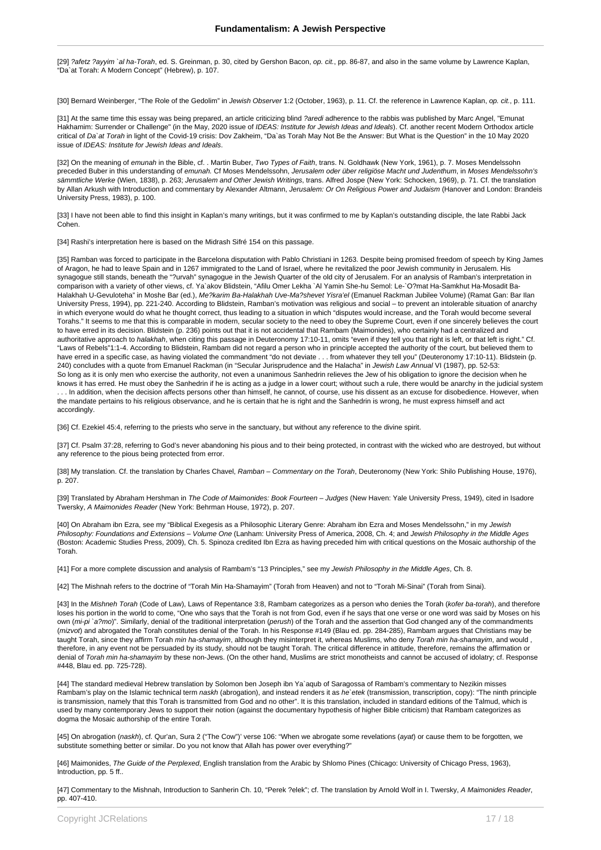[29] ?afetz ?ayyim `al ha-Torah, ed. S. Greinman, p. 30, cited by Gershon Bacon, op. cit., pp. 86-87, and also in the same volume by Lawrence Kaplan, "Da`at Torah: A Modern Concept" (Hebrew), p. 107.

[30] Bernard Weinberger, "The Role of the Gedolim" in Jewish Observer 1:2 (October, 1963), p. 11. Cf. the reference in Lawrence Kaplan, op. cit., p. 111.

[31] At the same time this essay was being prepared, an article criticizing blind ?aredi adherence to the rabbis was published by Marc Angel, "Emunat Hakhamim: Surrender or Challenge" (in the May, 2020 issue of IDEAS: Institute for Jewish Ideas and Ideals). Cf. another recent Modern Orthodox article critical of Da`at Torah in light of the Covid-19 crisis: Dov Zakheim, "Da`as Torah May Not Be the Answer: But What is the Question" in the 10 May 2020 issue of IDEAS: Institute for Jewish Ideas and Ideals.

[32] On the meaning of emunah in the Bible, cf. . Martin Buber, Two Types of Faith, trans. N. Goldhawk (New York, 1961), p. 7. Moses Mendelssohn preceded Buber in this understanding of emunah. Cf Moses Mendelssohn, Jerusalem oder über religiöse Macht und Judenthum, in Moses Mendelssohn's sämmtliche Werke (Wien, 1838), p. 263; Jerusalem and Other Jewish Writings, trans. Alfred Jospe (New York: Schocken, 1969), p. 71. Cf. the translation by Allan Arkush with Introduction and commentary by Alexander Altmann, Jerusalem: Or On Religious Power and Judaism (Hanover and London: Brandeis University Press, 1983), p. 100.

[33] I have not been able to find this insight in Kaplan's many writings, but it was confirmed to me by Kaplan's outstanding disciple, the late Rabbi Jack Cohen.

[34] Rashi's interpretation here is based on the Midrash Sifré 154 on this passage.

[35] Ramban was forced to participate in the Barcelona disputation with Pablo Christiani in 1263. Despite being promised freedom of speech by King James of Aragon, he had to leave Spain and in 1267 immigrated to the Land of Israel, where he revitalized the poor Jewish community in Jerusalem. His synagogue still stands, beneath the "?urvah" synagogue in the Jewish Quarter of the old city of Jerusalem. For an analysis of Ramban's interpretation in comparison with a variety of other views, cf. Ya`akov Blidstein, "Afilu Omer Lekha `Al Yamin She-hu Semol: Le-`O?mat Ha-Samkhut Ha-Mosadit Ba-Halakhah U-Gevuloteha" in Moshe Bar (ed.), Me?karim Ba-Halakhah Uve-Ma?shevet Yisra'el (Emanuel Rackman Jubilee Volume) (Ramat Gan: Bar Ilan University Press, 1994), pp. 221-240. According to Blidstein, Ramban's motivation was religious and social – to prevent an intolerable situation of anarchy in which everyone would do what he thought correct, thus leading to a situation in which "disputes would increase, and the Torah would become several Torahs." It seems to me that this is comparable in modern, secular society to the need to obey the Supreme Court, even if one sincerely believes the court to have erred in its decision. Blidstein (p. 236) points out that it is not accidental that Rambam (Maimonides), who certainly had a centralized and authoritative approach to halakhah, when citing this passage in Deuteronomy 17:10-11, omits "even if they tell you that right is left, or that left is right." Cf. "Laws of Rebels"1:1-4. According to Blidstein, Rambam did not regard a person who in principle accepted the authority of the court, but believed them to have erred in a specific case, as having violated the commandment "do not deviate . . . from whatever they tell you" (Deuteronomy 17:10-11). Blidstein (p. 240) concludes with a quote from Emanuel Rackman (in "Secular Jurisprudence and the Halacha" in Jewish Law Annual VI (1987), pp. 52-53: So long as it is only men who exercise the authority, not even a unanimous Sanhedrin relieves the Jew of his obligation to ignore the decision when he knows it has erred. He must obey the Sanhedrin if he is acting as a judge in a lower court; without such a rule, there would be anarchy in the judicial system . . . In addition, when the decision affects persons other than himself, he cannot, of course, use his dissent as an excuse for disobedience. However, when the mandate pertains to his religious observance, and he is certain that he is right and the Sanhedrin is wrong, he must express himself and act accordingly.

[36] Cf. Ezekiel 45:4, referring to the priests who serve in the sanctuary, but without any reference to the divine spirit.

[37] Cf. Psalm 37:28, referring to God's never abandoning his pious and to their being protected, in contrast with the wicked who are destroyed, but without any reference to the pious being protected from error.

[38] My translation. Cf. the translation by Charles Chavel, Ramban – Commentary on the Torah, Deuteronomy (New York: Shilo Publishing House, 1976), p. 207.

[39] Translated by Abraham Hershman in The Code of Maimonides: Book Fourteen - Judges (New Haven: Yale University Press, 1949), cited in Isadore Twersky, A Maimonides Reader (New York: Behrman House, 1972), p. 207.

[40] On Abraham ibn Ezra, see my "Biblical Exegesis as a Philosophic Literary Genre: Abraham ibn Ezra and Moses Mendelssohn," in my Jewish Philosophy: Foundations and Extensions – Volume One (Lanham: University Press of America, 2008, Ch. 4; and Jewish Philosophy in the Middle Ages (Boston: Academic Studies Press, 2009), Ch. 5. Spinoza credited Ibn Ezra as having preceded him with critical questions on the Mosaic authorship of the Torah.

[41] For a more complete discussion and analysis of Rambam's "13 Principles," see my Jewish Philosophy in the Middle Ages, Ch. 8.

[42] The Mishnah refers to the doctrine of "Torah Min Ha-Shamayim" (Torah from Heaven) and not to "Torah Mi-Sinai" (Torah from Sinai).

[43] In the Mishneh Torah (Code of Law), Laws of Repentance 3:8, Rambam categorizes as a person who denies the Torah (kofer ba-torah), and therefore loses his portion in the world to come, "One who says that the Torah is not from God, even if he says that one verse or one word was said by Moses on his own (mi-pi `a?mo)". Similarly, denial of the traditional interpretation (perush) of the Torah and the assertion that God changed any of the commandments (mizvot) and abrogated the Torah constitutes denial of the Torah. In his Response #149 (Blau ed. pp. 284-285), Rambam argues that Christians may be taught Torah, since they affirm Torah min ha-shamayim, although they misinterpret it, whereas Muslims, who deny Torah min ha-shamayim, and would, therefore, in any event not be persuaded by its study, should not be taught Torah. The critical difference in attitude, therefore, remains the affirmation or denial of Torah min ha-shamayim by these non-Jews. (On the other hand, Muslims are strict monotheists and cannot be accused of idolatry; cf. Response #448, Blau ed. pp. 725-728).

[44] The standard medieval Hebrew translation by Solomon ben Joseph ibn Ya`aqub of Saragossa of Rambam's commentary to Nezikin misses Rambam's play on the Islamic technical term naskh (abrogation), and instead renders it as he'etek (transmission, transcription, copy): "The ninth principle is transmission, namely that this Torah is transmitted from God and no other". It is this translation, included in standard editions of the Talmud, which is used by many contemporary Jews to support their notion (against the documentary hypothesis of higher Bible criticism) that Rambam categorizes as dogma the Mosaic authorship of the entire Torah.

[45] On abrogation (naskh), cf. Qur'an, Sura 2 ("The Cow")' verse 106: "When we abrogate some revelations (ayat) or cause them to be forgotten, we substitute something better or similar. Do you not know that Allah has power over everything?"

[46] Maimonides, The Guide of the Perplexed, English translation from the Arabic by Shlomo Pines (Chicago: University of Chicago Press, 1963), Introduction, pp. 5 ff..

[47] Commentary to the Mishnah, Introduction to Sanherin Ch. 10, "Perek ?elek"; cf. The translation by Arnold Wolf in I. Twersky, A Maimonides Reader, pp. 407-410.